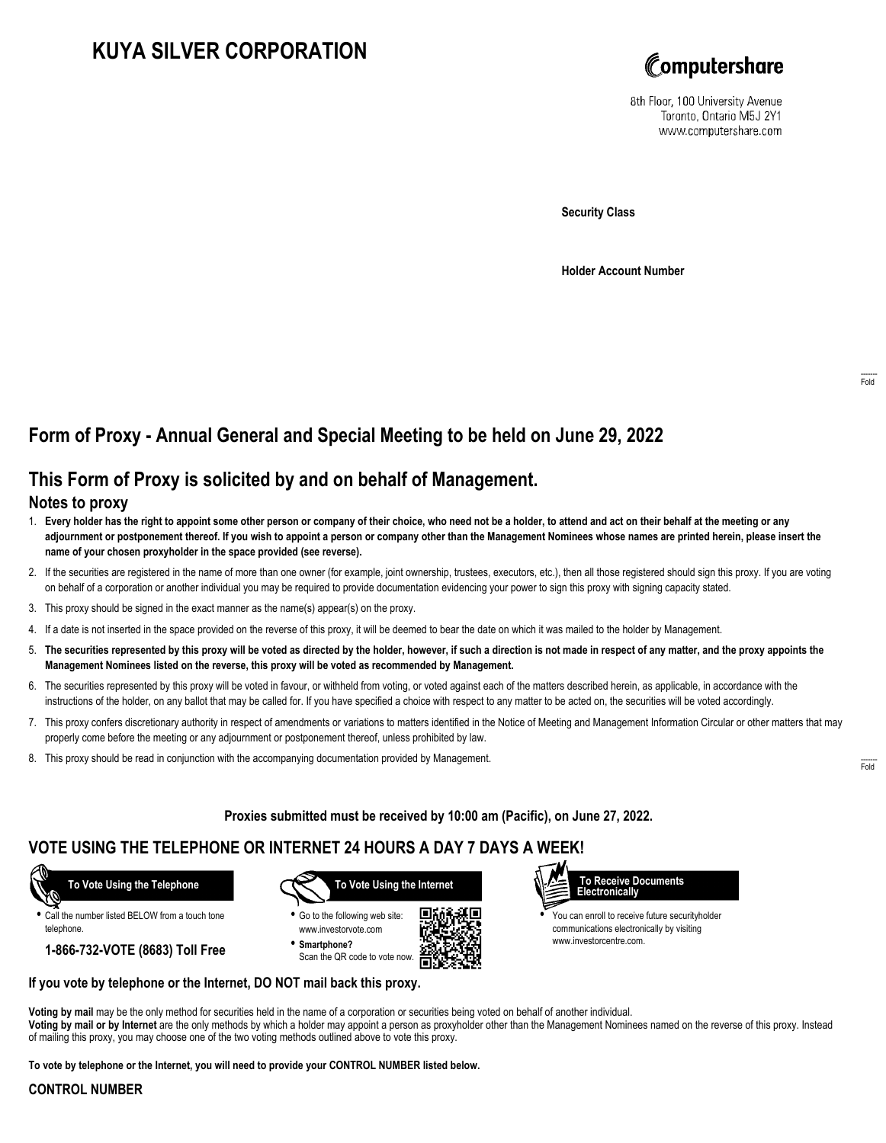# **KUYA SILVER CORPORATION**



8th Floor, 100 University Avenue Toronto, Ontario M5J 2Y1 www.computershare.com

**Security Class**

**Holder Account Number**

# **Form of Proxy - Annual General and Special Meeting to be held on June 29, 2022**

## **This Form of Proxy is solicited by and on behalf of Management.**

### **Notes to proxy**

- 1. **Every holder has the right to appoint some other person or company of their choice, who need not be a holder, to attend and act on their behalf at the meeting or any adjournment or postponement thereof. If you wish to appoint a person or company other than the Management Nominees whose names are printed herein, please insert the name of your chosen proxyholder in the space provided (see reverse).**
- 2. If the securities are registered in the name of more than one owner (for example, joint ownership, trustees, executors, etc.), then all those registered should sign this proxy. If you are voting on behalf of a corporation or another individual you may be required to provide documentation evidencing your power to sign this proxy with signing capacity stated.
- 3. This proxy should be signed in the exact manner as the name(s) appear(s) on the proxy.
- 4. If a date is not inserted in the space provided on the reverse of this proxy, it will be deemed to bear the date on which it was mailed to the holder by Management.
- 5. **The securities represented by this proxy will be voted as directed by the holder, however, if such a direction is not made in respect of any matter, and the proxy appoints the Management Nominees listed on the reverse, this proxy will be voted as recommended by Management.**
- 6. The securities represented by this proxy will be voted in favour, or withheld from voting, or voted against each of the matters described herein, as applicable, in accordance with the instructions of the holder, on any ballot that may be called for. If you have specified a choice with respect to any matter to be acted on, the securities will be voted accordingly.
- 7. This proxy confers discretionary authority in respect of amendments or variations to matters identified in the Notice of Meeting and Management Information Circular or other matters that may properly come before the meeting or any adjournment or postponement thereof, unless prohibited by law.
- 8. This proxy should be read in conjunction with the accompanying documentation provided by Management.

**Proxies submitted must be received by 10:00 am (Pacific), on June 27, 2022.**

г

## **VOTE USING THE TELEPHONE OR INTERNET 24 HOURS A DAY 7 DAYS A WEEK!**



**•** Call the number listed BELOW from a touch tone telephone.

**1-866-732-VOTE (8683) Toll Free**



**•** Go to the following web site: www.investorvote.com **• Smartphone?**

Scan the QR code to vote now.





**•** You can enroll to receive future securityholder communications electronically by visiting www.investorcentre.com.

#### **If you vote by telephone or the Internet, DO NOT mail back this proxy.**

**Voting by mail** may be the only method for securities held in the name of a corporation or securities being voted on behalf of another individual. **Voting by mail or by Internet** are the only methods by which a holder may appoint a person as proxyholder other than the Management Nominees named on the reverse of this proxy. Instead of mailing this proxy, you may choose one of the two voting methods outlined above to vote this proxy.

**To vote by telephone or the Internet, you will need to provide your CONTROL NUMBER listed below.**

### **CONTROL NUMBER**